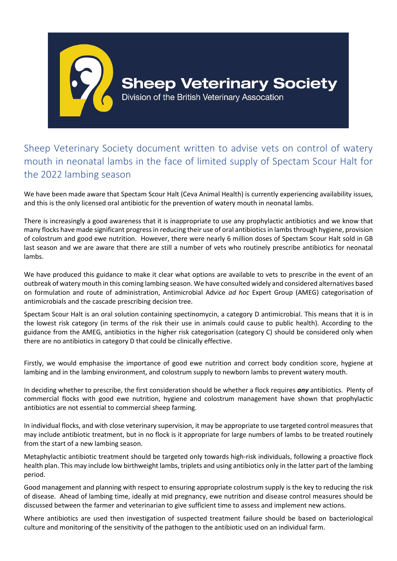

Sheep Veterinary Society document written to advise vets on control of watery mouth in neonatal lambs in the face of limited supply of Spectam Scour Halt for the 2022 lambing season

We have been made aware that Spectam Scour Halt (Ceva Animal Health) is currently experiencing availability issues, and this is the only licensed oral antibiotic for the prevention of watery mouth in neonatal lambs.

There is increasingly a good awareness that it is inappropriate to use any prophylactic antibiotics and we know that many flocks have made significant progress in reducing their use of oral antibiotics in lambs through hygiene, provision of colostrum and good ewe nutrition. However, there were nearly 6 million doses of Spectam Scour Halt sold in GB last season and we are aware that there are still a number of vets who routinely prescribe antibiotics for neonatal lambs.

We have produced this guidance to make it clear what options are available to vets to prescribe in the event of an outbreak of watery mouth in this coming lambing season. We have consulted widely and considered alternatives based on formulation and route of administration, Antimicrobial Advice *ad hoc* Expert Group (AMEG) categorisation of antimicrobials and the cascade prescribing decision tree.

Spectam Scour Halt is an oral solution containing spectinomycin, a category D antimicrobial. This means that it is in the lowest risk category (in terms of the risk their use in animals could cause to public health). According to the guidance from the AMEG, antibiotics in the higher risk categorisation (category C) should be considered only when there are no antibiotics in category D that could be clinically effective.

Firstly, we would emphasise the importance of good ewe nutrition and correct body condition score, hygiene at lambing and in the lambing environment, and colostrum supply to newborn lambs to prevent watery mouth.

In deciding whether to prescribe, the first consideration should be whether a flock requires *any* antibiotics. Plenty of commercial flocks with good ewe nutrition, hygiene and colostrum management have shown that prophylactic antibiotics are not essential to commercial sheep farming.

In individual flocks, and with close veterinary supervision, it may be appropriate to use targeted control measures that may include antibiotic treatment, but in no flock is it appropriate for large numbers of lambs to be treated routinely from the start of a new lambing season.

Metaphylactic antibiotic treatment should be targeted only towards high-risk individuals, following a proactive flock health plan. This may include low birthweight lambs, triplets and using antibiotics only in the latter part of the lambing period.

Good management and planning with respect to ensuring appropriate colostrum supply is the key to reducing the risk of disease. Ahead of lambing time, ideally at mid pregnancy, ewe nutrition and disease control measures should be discussed between the farmer and veterinarian to give sufficient time to assess and implement new actions.

Where antibiotics are used then investigation of suspected treatment failure should be based on bacteriological culture and monitoring of the sensitivity of the pathogen to the antibiotic used on an individual farm.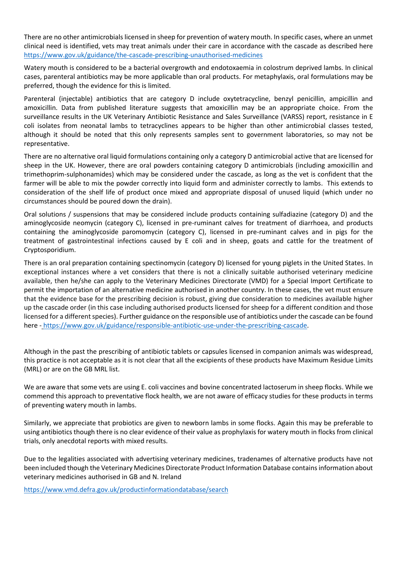There are no other antimicrobials licensed in sheep for prevention of watery mouth. In specific cases, where an unmet clinical need is identified, vets may treat animals under their care in accordance with the cascade as described here <https://www.gov.uk/guidance/the-cascade-prescribing-unauthorised-medicines>

Watery mouth is considered to be a bacterial overgrowth and endotoxaemia in colostrum deprived lambs. In clinical cases, parenteral antibiotics may be more applicable than oral products. For metaphylaxis, oral formulations may be preferred, though the evidence for this is limited.

Parenteral (injectable) antibiotics that are category D include oxytetracycline, benzyl penicillin, ampicillin and amoxicillin. Data from published literature suggests that amoxicillin may be an appropriate choice. From the surveillance results in the UK Veterinary Antibiotic Resistance and Sales Surveillance (VARSS) report, resistance in E coli isolates from neonatal lambs to tetracyclines appears to be higher than other antimicrobial classes tested, although it should be noted that this only represents samples sent to government laboratories, so may not be representative.

There are no alternative oral liquid formulations containing only a category D antimicrobial active that are licensed for sheep in the UK. However, there are oral powders containing category D antimicrobials (including amoxicillin and trimethoprim-sulphonamides) which may be considered under the cascade, as long as the vet is confident that the farmer will be able to mix the powder correctly into liquid form and administer correctly to lambs. This extends to consideration of the shelf life of product once mixed and appropriate disposal of unused liquid (which under no circumstances should be poured down the drain).

Oral solutions / suspensions that may be considered include products containing sulfadiazine (category D) and the aminoglycoside neomycin (category C), licensed in pre-ruminant calves for treatment of diarrhoea, and products containing the aminoglycoside paromomycin (category C), licensed in pre-ruminant calves and in pigs for the treatment of gastrointestinal infections caused by E coli and in sheep, goats and cattle for the treatment of Cryptosporidium.

There is an oral preparation containing spectinomycin (category D) licensed for young piglets in the United States. In exceptional instances where a vet considers that there is not a clinically suitable authorised veterinary medicine available, then he/she can apply to the Veterinary Medicines Directorate (VMD) for a Special Import Certificate to permit the importation of an alternative medicine authorised in another country. In these cases, the vet must ensure that the evidence base for the prescribing decision is robust, giving due consideration to medicines available higher up the cascade order (in this case including authorised products licensed for sheep for a different condition and those licensed for a different species). Further guidance on the responsible use of antibiotics under the cascade can be found here - https://www.gov.uk/guidance/responsible-antibiotic-use-under-the-prescribing-cascade.

Although in the past the prescribing of antibiotic tablets or capsules licensed in companion animals was widespread, this practice is not acceptable as it is not clear that all the excipients of these products have Maximum Residue Limits (MRL) or are on the GB MRL list.

We are aware that some vets are using E. coli vaccines and bovine concentrated lactoserum in sheep flocks. While we commend this approach to preventative flock health, we are not aware of efficacy studies for these products in terms of preventing watery mouth in lambs.

Similarly, we appreciate that probiotics are given to newborn lambs in some flocks. Again this may be preferable to using antibiotics though there is no clear evidence of their value as prophylaxis for watery mouth in flocks from clinical trials, only anecdotal reports with mixed results.

Due to the legalities associated with advertising veterinary medicines, tradenames of alternative products have not been included though the Veterinary Medicines Directorate Product Information Database contains information about veterinary medicines authorised in GB and N. Ireland

<https://www.vmd.defra.gov.uk/productinformationdatabase/search>